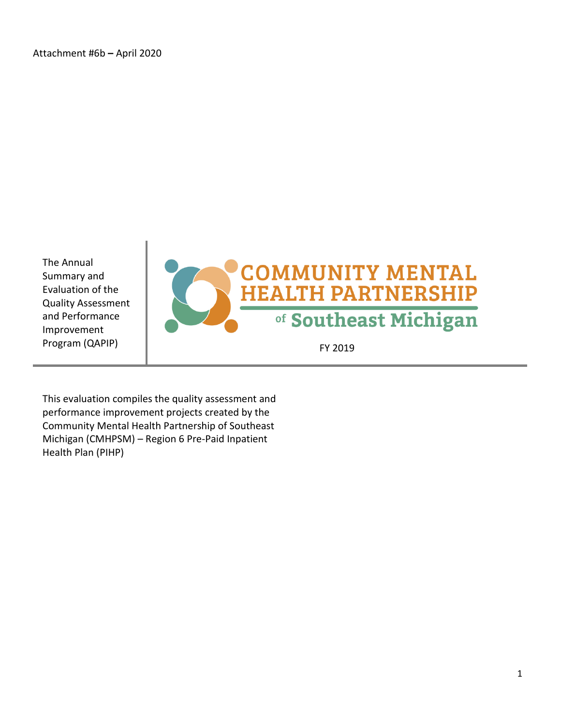The Annual Summary and Evaluation of the Quality Assessment and Performance Improvement



This evaluation compiles the quality assessment and performance improvement projects created by the Community Mental Health Partnership of Southeast Michigan (CMHPSM) – Region 6 Pre-Paid Inpatient Health Plan (PIHP)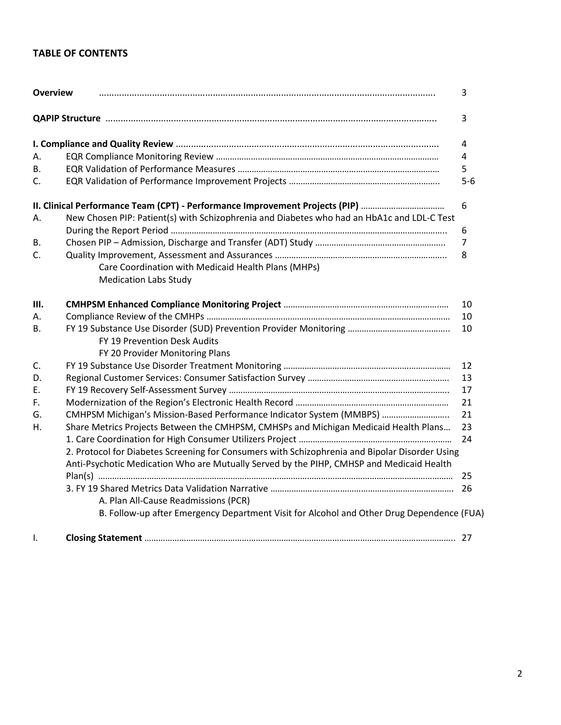## **TABLE OF CONTENTS**

| <b>Overview</b> |                                                                                                                                                                                            | 3              |
|-----------------|--------------------------------------------------------------------------------------------------------------------------------------------------------------------------------------------|----------------|
|                 |                                                                                                                                                                                            | 3              |
|                 |                                                                                                                                                                                            | 4              |
| А.              |                                                                                                                                                                                            | 4              |
| В.              |                                                                                                                                                                                            | 5              |
| C.              |                                                                                                                                                                                            | $5-6$          |
|                 | II. Clinical Performance Team (CPT) - Performance Improvement Projects (PIP)                                                                                                               | 6              |
| А.              | New Chosen PIP: Patient(s) with Schizophrenia and Diabetes who had an HbA1c and LDL-C Test                                                                                                 |                |
|                 |                                                                                                                                                                                            | 6              |
| В.              |                                                                                                                                                                                            | $\overline{7}$ |
| C.              |                                                                                                                                                                                            | 8              |
|                 | Care Coordination with Medicaid Health Plans (MHPs)                                                                                                                                        |                |
|                 | <b>Medication Labs Study</b>                                                                                                                                                               |                |
| Ш.              |                                                                                                                                                                                            | 10             |
| А.              |                                                                                                                                                                                            | 10             |
| В.              |                                                                                                                                                                                            | 10             |
|                 | FY 19 Prevention Desk Audits                                                                                                                                                               |                |
|                 | FY 20 Provider Monitoring Plans                                                                                                                                                            |                |
| C.              |                                                                                                                                                                                            | 12             |
| D.              |                                                                                                                                                                                            | 13             |
| Ε.              |                                                                                                                                                                                            | 17             |
| F.              |                                                                                                                                                                                            | 21             |
| G.              | CMHPSM Michigan's Mission-Based Performance Indicator System (MMBPS)                                                                                                                       | 21             |
| Н.              | Share Metrics Projects Between the CMHPSM, CMHSPs and Michigan Medicaid Health Plans                                                                                                       | 23             |
|                 |                                                                                                                                                                                            | 24             |
|                 | 2. Protocol for Diabetes Screening for Consumers with Schizophrenia and Bipolar Disorder Using<br>Anti-Psychotic Medication Who are Mutually Served by the PIHP, CMHSP and Medicaid Health |                |
|                 |                                                                                                                                                                                            | 25             |
|                 |                                                                                                                                                                                            |                |
|                 | A. Plan All-Cause Readmissions (PCR)                                                                                                                                                       |                |
|                 | B. Follow-up after Emergency Department Visit for Alcohol and Other Drug Dependence (FUA)                                                                                                  |                |
| Ι.              |                                                                                                                                                                                            |                |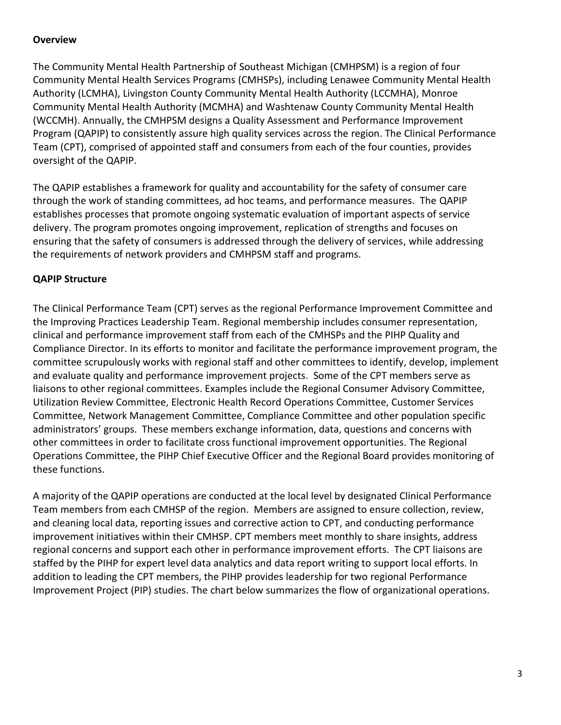### **Overview**

The Community Mental Health Partnership of Southeast Michigan (CMHPSM) is a region of four Community Mental Health Services Programs (CMHSPs), including Lenawee Community Mental Health Authority (LCMHA), Livingston County Community Mental Health Authority (LCCMHA), Monroe Community Mental Health Authority (MCMHA) and Washtenaw County Community Mental Health (WCCMH). Annually, the CMHPSM designs a Quality Assessment and Performance Improvement Program (QAPIP) to consistently assure high quality services across the region. The Clinical Performance Team (CPT), comprised of appointed staff and consumers from each of the four counties, provides oversight of the QAPIP.

The QAPIP establishes a framework for quality and accountability for the safety of consumer care through the work of standing committees, ad hoc teams, and performance measures. The QAPIP establishes processes that promote ongoing systematic evaluation of important aspects of service delivery. The program promotes ongoing improvement, replication of strengths and focuses on ensuring that the safety of consumers is addressed through the delivery of services, while addressing the requirements of network providers and CMHPSM staff and programs.

## **QAPIP Structure**

The Clinical Performance Team (CPT) serves as the regional Performance Improvement Committee and the Improving Practices Leadership Team. Regional membership includes consumer representation, clinical and performance improvement staff from each of the CMHSPs and the PIHP Quality and Compliance Director. In its efforts to monitor and facilitate the performance improvement program, the committee scrupulously works with regional staff and other committees to identify, develop, implement and evaluate quality and performance improvement projects. Some of the CPT members serve as liaisons to other regional committees. Examples include the Regional Consumer Advisory Committee, Utilization Review Committee, Electronic Health Record Operations Committee, Customer Services Committee, Network Management Committee, Compliance Committee and other population specific administrators' groups. These members exchange information, data, questions and concerns with other committees in order to facilitate cross functional improvement opportunities. The Regional Operations Committee, the PIHP Chief Executive Officer and the Regional Board provides monitoring of these functions.

A majority of the QAPIP operations are conducted at the local level by designated Clinical Performance Team members from each CMHSP of the region. Members are assigned to ensure collection, review, and cleaning local data, reporting issues and corrective action to CPT, and conducting performance improvement initiatives within their CMHSP. CPT members meet monthly to share insights, address regional concerns and support each other in performance improvement efforts. The CPT liaisons are staffed by the PIHP for expert level data analytics and data report writing to support local efforts. In addition to leading the CPT members, the PIHP provides leadership for two regional Performance Improvement Project (PIP) studies. The chart below summarizes the flow of organizational operations.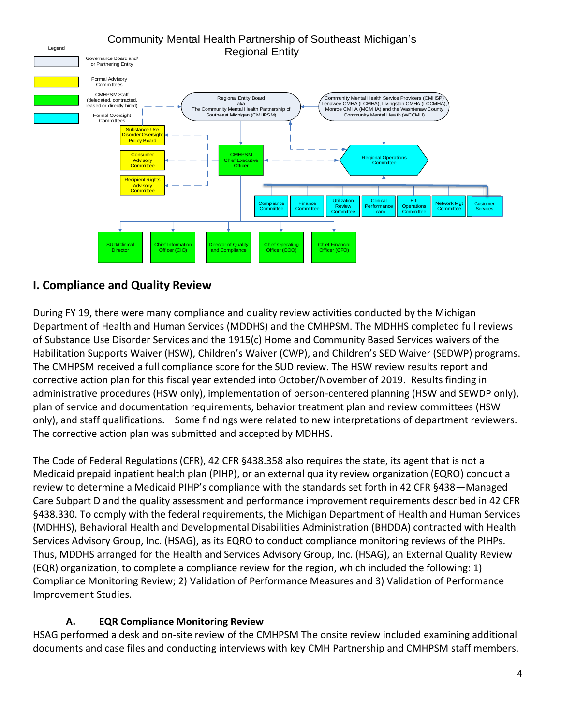#### Regional Entity Board aka The Community Mental Health Partnership of Southeast Michigan (CMHPSM) Community Mental Health Partnership of Southeast Michigan's Legend Legend **Regional Entity** Governance Board and/ or Partnering Entity Community Mental Health Service Providers (CMHSP) Lenawee CMHA (LCMHA), Livingston CMHA (LCCMHA), Monroe CMHA (MCMHA) and the Washtenaw County Community Mental Health (WCCMH) **CMHPSM Chief Executive** Office Formal Advisory Committees Substance Use **Bussiellich Franch Policy Board** Consumer **Advisory Committe** Recipient Rights \_Advisory<br>Committee Regional Operations **Committee** CMHPSM Staff (delegated, contracted, acidgenous, unit Chief Financial Officer (CFO) Formal Oversight **Committee Chief Operating** Officer (COO) tor of Qual and Compliance Chief Information Officer (CIO) Utilization Review Committ Clinica **erforman** Team E.II Operatio Committ **Network Mg Committee** SUD/Clinical Director Customer Customer Services ServicesFinance **Committee Compliance Committee**

# **I. Compliance and Quality Review**

During FY 19, there were many compliance and quality review activities conducted by the Michigan Department of Health and Human Services (MDDHS) and the CMHPSM. The MDHHS completed full reviews of Substance Use Disorder Services and the 1915(c) Home and Community Based Services waivers of the Habilitation Supports Waiver (HSW), Children's Waiver (CWP), and Children's SED Waiver (SEDWP) programs. The CMHPSM received a full compliance score for the SUD review. The HSW review results report and corrective action plan for this fiscal year extended into October/November of 2019. Results finding in administrative procedures (HSW only), implementation of person-centered planning (HSW and SEWDP only), plan of service and documentation requirements, behavior treatment plan and review committees (HSW only), and staff qualifications. Some findings were related to new interpretations of department reviewers. The corrective action plan was submitted and accepted by MDHHS.

The Code of Federal Regulations (CFR), 42 CFR §438.358 also requires the state, its agent that is not a Medicaid prepaid inpatient health plan (PIHP), or an external quality review organization (EQRO) conduct a review to determine a Medicaid PIHP's compliance with the standards set forth in 42 CFR §438—Managed Care Subpart D and the quality assessment and performance improvement requirements described in 42 CFR §438.330. To comply with the federal requirements, the Michigan Department of Health and Human Services (MDHHS), Behavioral Health and Developmental Disabilities Administration (BHDDA) contracted with Health Services Advisory Group, Inc. (HSAG), as its EQRO to conduct compliance monitoring reviews of the PIHPs. Thus, MDDHS arranged for the Health and Services Advisory Group, Inc. (HSAG), an External Quality Review (EQR) organization, to complete a compliance review for the region, which included the following: 1) Compliance Monitoring Review; 2) Validation of Performance Measures and 3) Validation of Performance Improvement Studies.

## **A. EQR Compliance Monitoring Review**

HSAG performed a desk and on-site review of the CMHPSM The onsite review included examining additional documents and case files and conducting interviews with key CMH Partnership and CMHPSM staff members.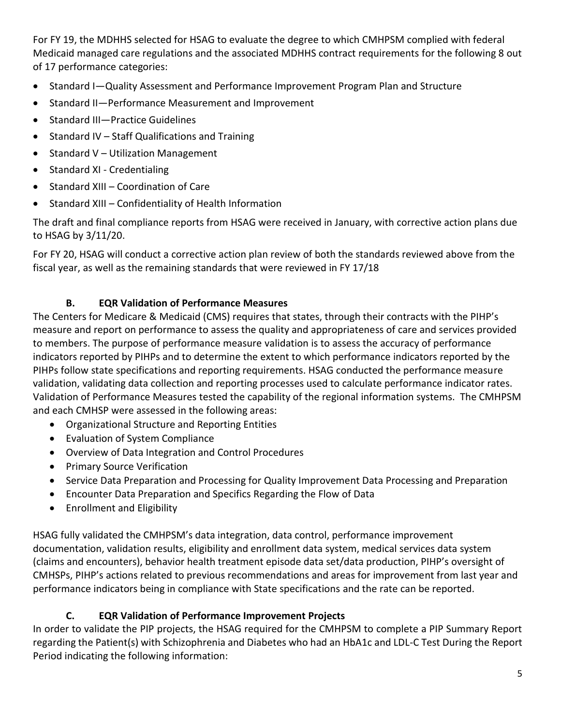For FY 19, the MDHHS selected for HSAG to evaluate the degree to which CMHPSM complied with federal Medicaid managed care regulations and the associated MDHHS contract requirements for the following 8 out of 17 performance categories:

- Standard I—Quality Assessment and Performance Improvement Program Plan and Structure
- Standard II—Performance Measurement and Improvement
- Standard III—Practice Guidelines
- Standard IV Staff Qualifications and Training
- Standard V Utilization Management
- Standard XI Credentialing
- Standard XIII Coordination of Care
- Standard XIII Confidentiality of Health Information

The draft and final compliance reports from HSAG were received in January, with corrective action plans due to HSAG by 3/11/20.

For FY 20, HSAG will conduct a corrective action plan review of both the standards reviewed above from the fiscal year, as well as the remaining standards that were reviewed in FY 17/18

## **B. EQR Validation of Performance Measures**

The Centers for Medicare & Medicaid (CMS) requires that states, through their contracts with the PIHP's measure and report on performance to assess the quality and appropriateness of care and services provided to members. The purpose of performance measure validation is to assess the accuracy of performance indicators reported by PIHPs and to determine the extent to which performance indicators reported by the PIHPs follow state specifications and reporting requirements. HSAG conducted the performance measure validation, validating data collection and reporting processes used to calculate performance indicator rates. Validation of Performance Measures tested the capability of the regional information systems. The CMHPSM and each CMHSP were assessed in the following areas:

- Organizational Structure and Reporting Entities
- Evaluation of System Compliance
- Overview of Data Integration and Control Procedures
- Primary Source Verification
- Service Data Preparation and Processing for Quality Improvement Data Processing and Preparation
- Encounter Data Preparation and Specifics Regarding the Flow of Data
- Enrollment and Eligibility

HSAG fully validated the CMHPSM's data integration, data control, performance improvement documentation, validation results, eligibility and enrollment data system, medical services data system (claims and encounters), behavior health treatment episode data set/data production, PIHP's oversight of CMHSPs, PIHP's actions related to previous recommendations and areas for improvement from last year and performance indicators being in compliance with State specifications and the rate can be reported.

## **C. EQR Validation of Performance Improvement Projects**

In order to validate the PIP projects, the HSAG required for the CMHPSM to complete a PIP Summary Report regarding the Patient(s) with Schizophrenia and Diabetes who had an HbA1c and LDL-C Test During the Report Period indicating the following information: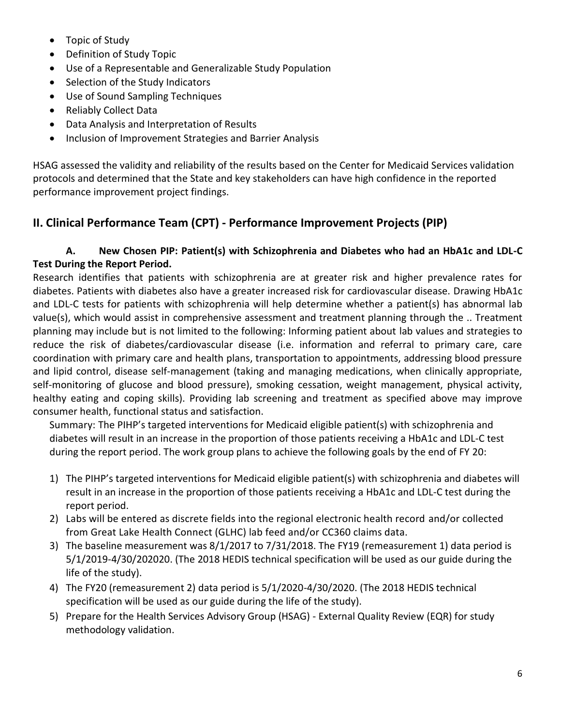- Topic of Study
- Definition of Study Topic
- Use of a Representable and Generalizable Study Population
- Selection of the Study Indicators
- Use of Sound Sampling Techniques
- Reliably Collect Data
- Data Analysis and Interpretation of Results
- Inclusion of Improvement Strategies and Barrier Analysis

HSAG assessed the validity and reliability of the results based on the Center for Medicaid Services validation protocols and determined that the State and key stakeholders can have high confidence in the reported performance improvement project findings.

## **II. Clinical Performance Team (CPT) - Performance Improvement Projects (PIP)**

## **A. New Chosen PIP: Patient(s) with Schizophrenia and Diabetes who had an HbA1c and LDL-C Test During the Report Period.**

Research identifies that patients with schizophrenia are at greater risk and higher prevalence rates for diabetes. Patients with diabetes also have a greater increased risk for cardiovascular disease. Drawing HbA1c and LDL-C tests for patients with schizophrenia will help determine whether a patient(s) has abnormal lab value(s), which would assist in comprehensive assessment and treatment planning through the .. Treatment planning may include but is not limited to the following: Informing patient about lab values and strategies to reduce the risk of diabetes/cardiovascular disease (i.e. information and referral to primary care, care coordination with primary care and health plans, transportation to appointments, addressing blood pressure and lipid control, disease self-management (taking and managing medications, when clinically appropriate, self-monitoring of glucose and blood pressure), smoking cessation, weight management, physical activity, healthy eating and coping skills). Providing lab screening and treatment as specified above may improve consumer health, functional status and satisfaction.

Summary: The PIHP's targeted interventions for Medicaid eligible patient(s) with schizophrenia and diabetes will result in an increase in the proportion of those patients receiving a HbA1c and LDL-C test during the report period. The work group plans to achieve the following goals by the end of FY 20:

- 1) The PIHP's targeted interventions for Medicaid eligible patient(s) with schizophrenia and diabetes will result in an increase in the proportion of those patients receiving a HbA1c and LDL-C test during the report period.
- 2) Labs will be entered as discrete fields into the regional electronic health record and/or collected from Great Lake Health Connect (GLHC) lab feed and/or CC360 claims data.
- 3) The baseline measurement was 8/1/2017 to 7/31/2018. The FY19 (remeasurement 1) data period is 5/1/2019-4/30/202020. (The 2018 HEDIS technical specification will be used as our guide during the life of the study).
- 4) The FY20 (remeasurement 2) data period is 5/1/2020-4/30/2020. (The 2018 HEDIS technical specification will be used as our guide during the life of the study).
- 5) Prepare for the Health Services Advisory Group (HSAG) External Quality Review (EQR) for study methodology validation.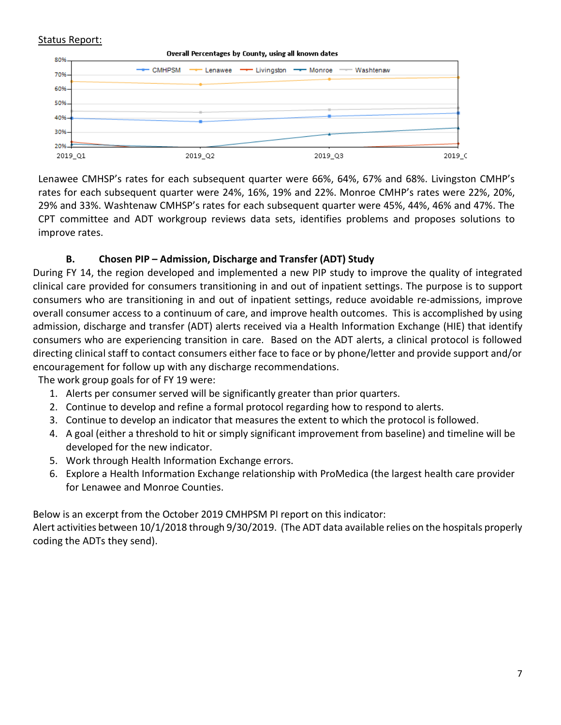#### Status Report:

Overall Percentages by County, using all known dates



Lenawee CMHSP's rates for each subsequent quarter were 66%, 64%, 67% and 68%. Livingston CMHP's rates for each subsequent quarter were 24%, 16%, 19% and 22%. Monroe CMHP's rates were 22%, 20%, 29% and 33%. Washtenaw CMHSP's rates for each subsequent quarter were 45%, 44%, 46% and 47%. The CPT committee and ADT workgroup reviews data sets, identifies problems and proposes solutions to improve rates.

### **B. Chosen PIP – Admission, Discharge and Transfer (ADT) Study**

During FY 14, the region developed and implemented a new PIP study to improve the quality of integrated clinical care provided for consumers transitioning in and out of inpatient settings. The purpose is to support consumers who are transitioning in and out of inpatient settings, reduce avoidable re-admissions, improve overall consumer access to a continuum of care, and improve health outcomes. This is accomplished by using admission, discharge and transfer (ADT) alerts received via a Health Information Exchange (HIE) that identify consumers who are experiencing transition in care. Based on the ADT alerts, a clinical protocol is followed directing clinical staff to contact consumers either face to face or by phone/letter and provide support and/or encouragement for follow up with any discharge recommendations.

The work group goals for of FY 19 were:

- 1. Alerts per consumer served will be significantly greater than prior quarters.
- 2. Continue to develop and refine a formal protocol regarding how to respond to alerts.
- 3. Continue to develop an indicator that measures the extent to which the protocol is followed.
- 4. A goal (either a threshold to hit or simply significant improvement from baseline) and timeline will be developed for the new indicator.
- 5. Work through Health Information Exchange errors.
- 6. Explore a Health Information Exchange relationship with ProMedica (the largest health care provider for Lenawee and Monroe Counties.

Below is an excerpt from the October 2019 CMHPSM PI report on this indicator:

Alert activities between 10/1/2018 through 9/30/2019. (The ADT data available relies on the hospitals properly coding the ADTs they send).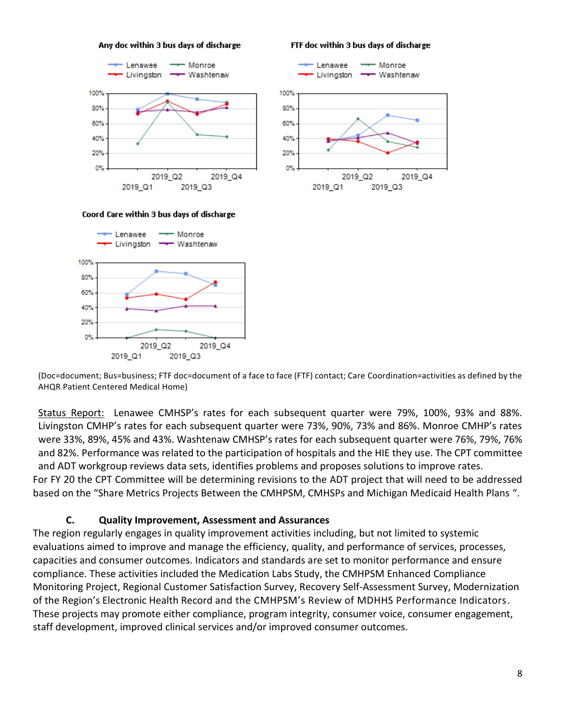Any doc within 3 bus days of discharge

FTF doc within 3 bus days of discharge

← Monroe

Lenawee





Coord Care within 3 bus days of discharge



(Doc=document; Bus=business; FTF doc=document of a face to face (FTF) contact; Care Coordination=activities as defined by the AHQR Patient Centered Medical Home)

Status Report: Lenawee CMHSP's rates for each subsequent quarter were 79%, 100%, 93% and 88%. Livingston CMHP's rates for each subsequent quarter were 73%, 90%, 73% and 86%. Monroe CMHP's rates were 33%, 89%, 45% and 43%. Washtenaw CMHSP's rates for each subsequent quarter were 76%, 79%, 76% and 82%. Performance was related to the participation of hospitals and the HIE they use. The CPT committee and ADT workgroup reviews data sets, identifies problems and proposes solutions to improve rates. For FY 20 the CPT Committee will be determining revisions to the ADT project that will need to be addressed based on the "Share Metrics Projects Between the CMHPSM, CMHSPs and Michigan Medicaid Health Plans ".

### **C. Quality Improvement, Assessment and Assurances**

The region regularly engages in quality improvement activities including, but not limited to systemic evaluations aimed to improve and manage the efficiency, quality, and performance of services, processes, capacities and consumer outcomes. Indicators and standards are set to monitor performance and ensure compliance. These activities included the Medication Labs Study, the CMHPSM Enhanced Compliance Monitoring Project, Regional Customer Satisfaction Survey, Recovery Self-Assessment Survey, Modernization of the Region's Electronic Health Record and the CMHPSM's Review of MDHHS Performance Indicators. These projects may promote either compliance, program integrity, consumer voice, consumer engagement, staff development, improved clinical services and/or improved consumer outcomes.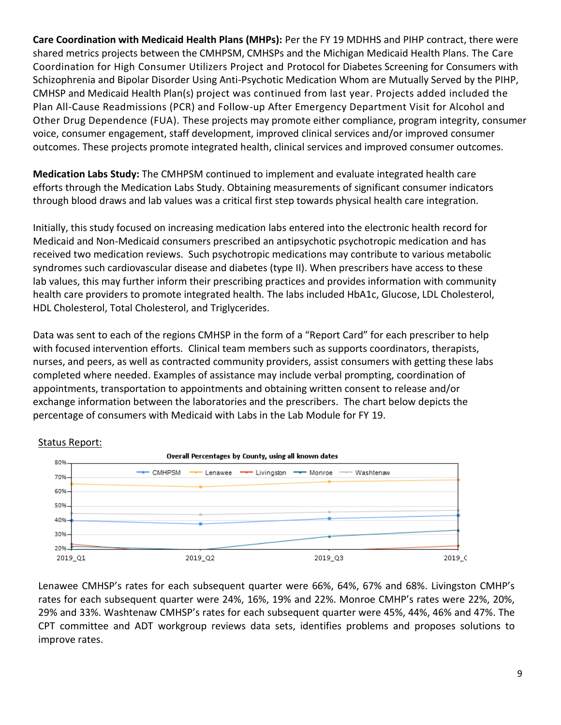**Care Coordination with Medicaid Health Plans (MHPs):** Per the FY 19 MDHHS and PIHP contract, there were shared metrics projects between the CMHPSM, CMHSPs and the Michigan Medicaid Health Plans. The Care Coordination for High Consumer Utilizers Project and Protocol for Diabetes Screening for Consumers with Schizophrenia and Bipolar Disorder Using Anti-Psychotic Medication Whom are Mutually Served by the PIHP, CMHSP and Medicaid Health Plan(s) project was continued from last year. Projects added included the Plan All-Cause Readmissions (PCR) and Follow-up After Emergency Department Visit for Alcohol and Other Drug Dependence (FUA). These projects may promote either compliance, program integrity, consumer voice, consumer engagement, staff development, improved clinical services and/or improved consumer outcomes. These projects promote integrated health, clinical services and improved consumer outcomes.

**Medication Labs Study:** The CMHPSM continued to implement and evaluate integrated health care efforts through the Medication Labs Study. Obtaining measurements of significant consumer indicators through blood draws and lab values was a critical first step towards physical health care integration.

Initially, this study focused on increasing medication labs entered into the electronic health record for Medicaid and Non-Medicaid consumers prescribed an antipsychotic psychotropic medication and has received two medication reviews. Such psychotropic medications may contribute to various metabolic syndromes such cardiovascular disease and diabetes (type II). When prescribers have access to these lab values, this may further inform their prescribing practices and provides information with community health care providers to promote integrated health. The labs included HbA1c, Glucose, LDL Cholesterol, HDL Cholesterol, Total Cholesterol, and Triglycerides.

Data was sent to each of the regions CMHSP in the form of a "Report Card" for each prescriber to help with focused intervention efforts. Clinical team members such as supports coordinators, therapists, nurses, and peers, as well as contracted community providers, assist consumers with getting these labs completed where needed. Examples of assistance may include verbal prompting, coordination of appointments, transportation to appointments and obtaining written consent to release and/or exchange information between the laboratories and the prescribers. The chart below depicts the percentage of consumers with Medicaid with Labs in the Lab Module for FY 19.



#### Status Report:

Lenawee CMHSP's rates for each subsequent quarter were 66%, 64%, 67% and 68%. Livingston CMHP's rates for each subsequent quarter were 24%, 16%, 19% and 22%. Monroe CMHP's rates were 22%, 20%, 29% and 33%. Washtenaw CMHSP's rates for each subsequent quarter were 45%, 44%, 46% and 47%. The CPT committee and ADT workgroup reviews data sets, identifies problems and proposes solutions to improve rates.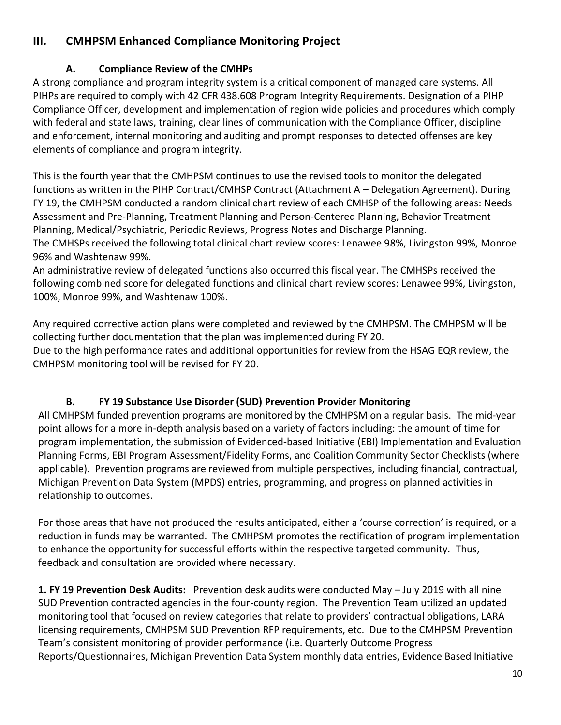# **III. CMHPSM Enhanced Compliance Monitoring Project**

## **A. Compliance Review of the CMHPs**

A strong compliance and program integrity system is a critical component of managed care systems. All PIHPs are required to comply with 42 CFR 438.608 Program Integrity Requirements. Designation of a PIHP Compliance Officer, development and implementation of region wide policies and procedures which comply with federal and state laws, training, clear lines of communication with the Compliance Officer, discipline and enforcement, internal monitoring and auditing and prompt responses to detected offenses are key elements of compliance and program integrity.

This is the fourth year that the CMHPSM continues to use the revised tools to monitor the delegated functions as written in the PIHP Contract/CMHSP Contract (Attachment A – Delegation Agreement). During FY 19, the CMHPSM conducted a random clinical chart review of each CMHSP of the following areas: Needs Assessment and Pre-Planning, Treatment Planning and Person-Centered Planning, Behavior Treatment Planning, Medical/Psychiatric, Periodic Reviews, Progress Notes and Discharge Planning. The CMHSPs received the following total clinical chart review scores: Lenawee 98%, Livingston 99%, Monroe 96% and Washtenaw 99%.

An administrative review of delegated functions also occurred this fiscal year. The CMHSPs received the following combined score for delegated functions and clinical chart review scores: Lenawee 99%, Livingston, 100%, Monroe 99%, and Washtenaw 100%.

Any required corrective action plans were completed and reviewed by the CMHPSM. The CMHPSM will be collecting further documentation that the plan was implemented during FY 20.

Due to the high performance rates and additional opportunities for review from the HSAG EQR review, the CMHPSM monitoring tool will be revised for FY 20.

## **B. FY 19 Substance Use Disorder (SUD) Prevention Provider Monitoring**

All CMHPSM funded prevention programs are monitored by the CMHPSM on a regular basis. The mid-year point allows for a more in-depth analysis based on a variety of factors including: the amount of time for program implementation, the submission of Evidenced-based Initiative (EBI) Implementation and Evaluation Planning Forms, EBI Program Assessment/Fidelity Forms, and Coalition Community Sector Checklists (where applicable). Prevention programs are reviewed from multiple perspectives, including financial, contractual, Michigan Prevention Data System (MPDS) entries, programming, and progress on planned activities in relationship to outcomes.

For those areas that have not produced the results anticipated, either a 'course correction' is required, or a reduction in funds may be warranted. The CMHPSM promotes the rectification of program implementation to enhance the opportunity for successful efforts within the respective targeted community. Thus, feedback and consultation are provided where necessary.

**1. FY 19 Prevention Desk Audits:** Prevention desk audits were conducted May – July 2019 with all nine SUD Prevention contracted agencies in the four-county region. The Prevention Team utilized an updated monitoring tool that focused on review categories that relate to providers' contractual obligations, LARA licensing requirements, CMHPSM SUD Prevention RFP requirements, etc. Due to the CMHPSM Prevention Team's consistent monitoring of provider performance (i.e. Quarterly Outcome Progress Reports/Questionnaires, Michigan Prevention Data System monthly data entries, Evidence Based Initiative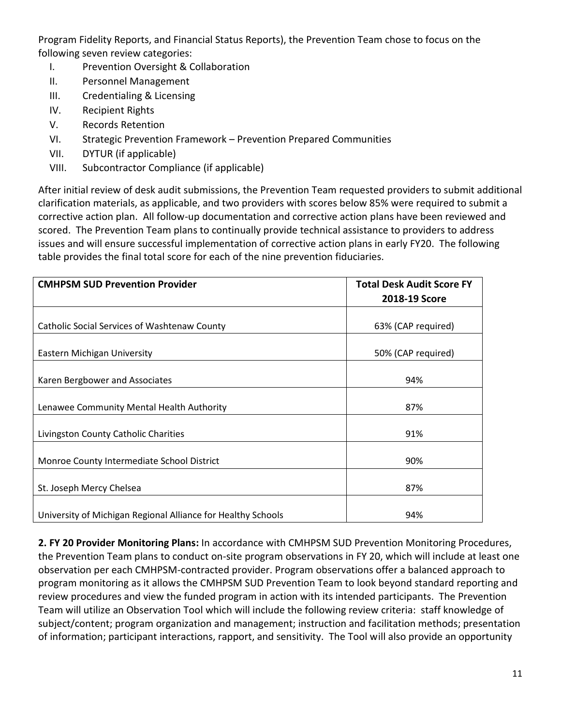Program Fidelity Reports, and Financial Status Reports), the Prevention Team chose to focus on the following seven review categories:

- I. Prevention Oversight & Collaboration
- II. Personnel Management
- III. Credentialing & Licensing
- IV. Recipient Rights
- V. Records Retention
- VI. Strategic Prevention Framework Prevention Prepared Communities
- VII. DYTUR (if applicable)
- VIII. Subcontractor Compliance (if applicable)

After initial review of desk audit submissions, the Prevention Team requested providers to submit additional clarification materials, as applicable, and two providers with scores below 85% were required to submit a corrective action plan. All follow-up documentation and corrective action plans have been reviewed and scored. The Prevention Team plans to continually provide technical assistance to providers to address issues and will ensure successful implementation of corrective action plans in early FY20. The following table provides the final total score for each of the nine prevention fiduciaries.

| <b>CMHPSM SUD Prevention Provider</b>                        | <b>Total Desk Audit Score FY</b> |
|--------------------------------------------------------------|----------------------------------|
|                                                              | 2018-19 Score                    |
|                                                              |                                  |
| Catholic Social Services of Washtenaw County                 | 63% (CAP required)               |
| Eastern Michigan University                                  | 50% (CAP required)               |
| Karen Bergbower and Associates                               | 94%                              |
| Lenawee Community Mental Health Authority                    | 87%                              |
| Livingston County Catholic Charities                         | 91%                              |
| Monroe County Intermediate School District                   | 90%                              |
| St. Joseph Mercy Chelsea                                     | 87%                              |
| University of Michigan Regional Alliance for Healthy Schools | 94%                              |

**2. FY 20 Provider Monitoring Plans:** In accordance with CMHPSM SUD Prevention Monitoring Procedures, the Prevention Team plans to conduct on-site program observations in FY 20, which will include at least one observation per each CMHPSM-contracted provider. Program observations offer a balanced approach to program monitoring as it allows the CMHPSM SUD Prevention Team to look beyond standard reporting and review procedures and view the funded program in action with its intended participants. The Prevention Team will utilize an Observation Tool which will include the following review criteria: staff knowledge of subject/content; program organization and management; instruction and facilitation methods; presentation of information; participant interactions, rapport, and sensitivity. The Tool will also provide an opportunity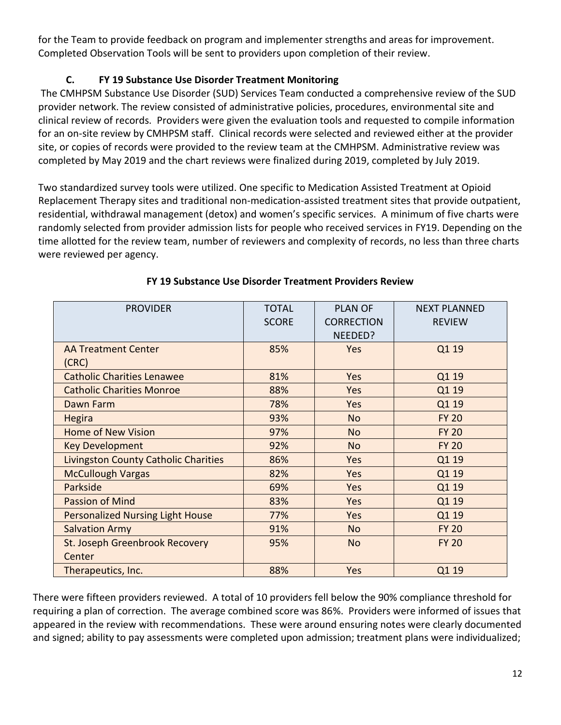for the Team to provide feedback on program and implementer strengths and areas for improvement. Completed Observation Tools will be sent to providers upon completion of their review.

## **C. FY 19 Substance Use Disorder Treatment Monitoring**

The CMHPSM Substance Use Disorder (SUD) Services Team conducted a comprehensive review of the SUD provider network. The review consisted of administrative policies, procedures, environmental site and clinical review of records. Providers were given the evaluation tools and requested to compile information for an on-site review by CMHPSM staff. Clinical records were selected and reviewed either at the provider site, or copies of records were provided to the review team at the CMHPSM. Administrative review was completed by May 2019 and the chart reviews were finalized during 2019, completed by July 2019.

Two standardized survey tools were utilized. One specific to Medication Assisted Treatment at Opioid Replacement Therapy sites and traditional non-medication-assisted treatment sites that provide outpatient, residential, withdrawal management (detox) and women's specific services. A minimum of five charts were randomly selected from provider admission lists for people who received services in FY19. Depending on the time allotted for the review team, number of reviewers and complexity of records, no less than three charts were reviewed per agency.

| <b>PROVIDER</b>                             | <b>TOTAL</b><br><b>SCORE</b> | <b>PLAN OF</b><br><b>CORRECTION</b><br>NEEDED? | <b>NEXT PLANNED</b><br><b>REVIEW</b> |
|---------------------------------------------|------------------------------|------------------------------------------------|--------------------------------------|
| <b>AA Treatment Center</b><br>(CRC)         | 85%                          | Yes                                            | Q1 19                                |
| <b>Catholic Charities Lenawee</b>           | 81%                          | Yes                                            | Q1 19                                |
| <b>Catholic Charities Monroe</b>            | 88%                          | Yes                                            | Q1 19                                |
| Dawn Farm                                   | 78%                          | Yes                                            | Q1 19                                |
| <b>Hegira</b>                               | 93%                          | <b>No</b>                                      | <b>FY 20</b>                         |
| <b>Home of New Vision</b>                   | 97%                          | <b>No</b>                                      | <b>FY 20</b>                         |
| <b>Key Development</b>                      | 92%                          | <b>No</b>                                      | <b>FY 20</b>                         |
| <b>Livingston County Catholic Charities</b> | 86%                          | Yes                                            | Q1 19                                |
| <b>McCullough Vargas</b>                    | 82%                          | <b>Yes</b>                                     | Q1 19                                |
| Parkside                                    | 69%                          | Yes                                            | Q1 19                                |
| <b>Passion of Mind</b>                      | 83%                          | Yes                                            | Q1 19                                |
| <b>Personalized Nursing Light House</b>     | 77%                          | Yes                                            | Q1 19                                |
| <b>Salvation Army</b>                       | 91%                          | <b>No</b>                                      | <b>FY 20</b>                         |
| St. Joseph Greenbrook Recovery<br>Center    | 95%                          | <b>No</b>                                      | <b>FY 20</b>                         |
| Therapeutics, Inc.                          | 88%                          | Yes                                            | Q1 19                                |

## **FY 19 Substance Use Disorder Treatment Providers Review**

There were fifteen providers reviewed. A total of 10 providers fell below the 90% compliance threshold for requiring a plan of correction. The average combined score was 86%. Providers were informed of issues that appeared in the review with recommendations. These were around ensuring notes were clearly documented and signed; ability to pay assessments were completed upon admission; treatment plans were individualized;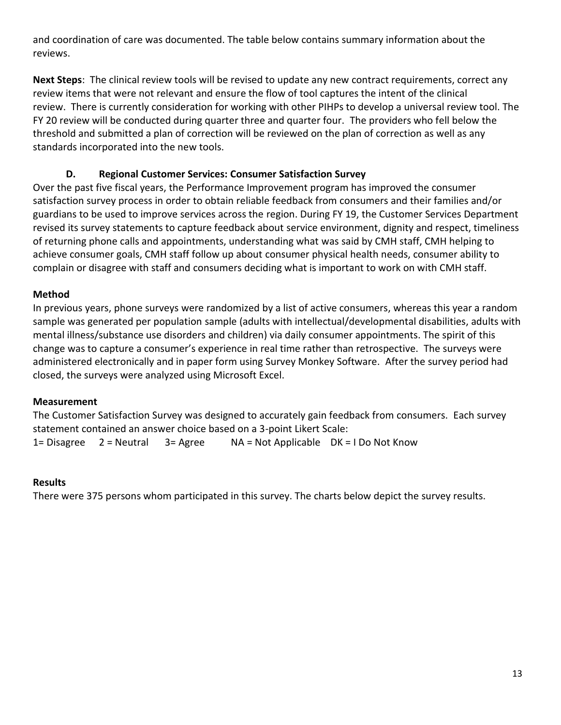and coordination of care was documented. The table below contains summary information about the reviews.

**Next Steps**: The clinical review tools will be revised to update any new contract requirements, correct any review items that were not relevant and ensure the flow of tool captures the intent of the clinical review. There is currently consideration for working with other PIHPs to develop a universal review tool. The FY 20 review will be conducted during quarter three and quarter four. The providers who fell below the threshold and submitted a plan of correction will be reviewed on the plan of correction as well as any standards incorporated into the new tools.

## **D. Regional Customer Services: Consumer Satisfaction Survey**

Over the past five fiscal years, the Performance Improvement program has improved the consumer satisfaction survey process in order to obtain reliable feedback from consumers and their families and/or guardians to be used to improve services across the region. During FY 19, the Customer Services Department revised its survey statements to capture feedback about service environment, dignity and respect, timeliness of returning phone calls and appointments, understanding what was said by CMH staff, CMH helping to achieve consumer goals, CMH staff follow up about consumer physical health needs, consumer ability to complain or disagree with staff and consumers deciding what is important to work on with CMH staff.

### **Method**

In previous years, phone surveys were randomized by a list of active consumers, whereas this year a random sample was generated per population sample (adults with intellectual/developmental disabilities, adults with mental illness/substance use disorders and children) via daily consumer appointments. The spirit of this change was to capture a consumer's experience in real time rather than retrospective. The surveys were administered electronically and in paper form using Survey Monkey Software. After the survey period had closed, the surveys were analyzed using Microsoft Excel.

#### **Measurement**

The Customer Satisfaction Survey was designed to accurately gain feedback from consumers. Each survey statement contained an answer choice based on a 3-point Likert Scale:

1= Disagree 2 = Neutral 3= Agree NA = Not Applicable DK = I Do Not Know

#### **Results**

There were 375 persons whom participated in this survey. The charts below depict the survey results.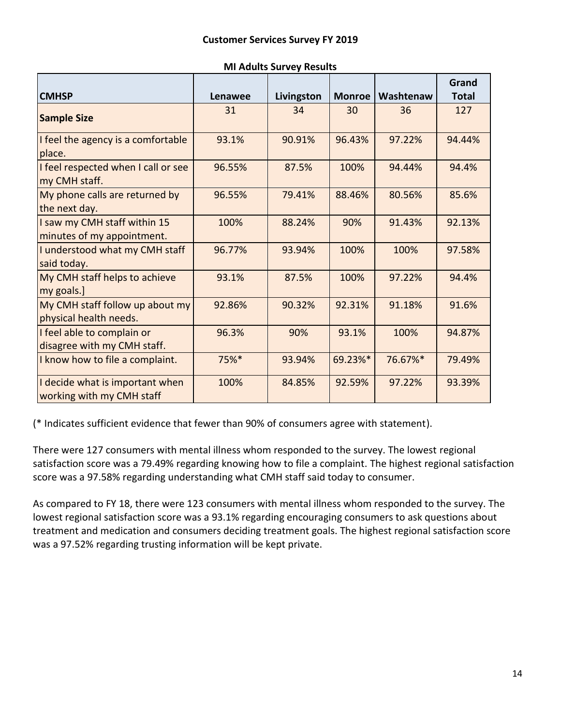|                                                              |         |            |               |           | Grand        |
|--------------------------------------------------------------|---------|------------|---------------|-----------|--------------|
| <b>CMHSP</b>                                                 | Lenawee | Livingston | <b>Monroe</b> | Washtenaw | <b>Total</b> |
| <b>Sample Size</b>                                           | 31      | 34         | 30            | 36        | 127          |
| I feel the agency is a comfortable<br>place.                 | 93.1%   | 90.91%     | 96.43%        | 97.22%    | 94.44%       |
| I feel respected when I call or see<br>my CMH staff.         | 96.55%  | 87.5%      | 100%          | 94.44%    | 94.4%        |
| My phone calls are returned by<br>the next day.              | 96.55%  | 79.41%     | 88.46%        | 80.56%    | 85.6%        |
| I saw my CMH staff within 15<br>minutes of my appointment.   | 100%    | 88.24%     | 90%           | 91.43%    | 92.13%       |
| I understood what my CMH staff<br>said today.                | 96.77%  | 93.94%     | 100%          | 100%      | 97.58%       |
| My CMH staff helps to achieve<br>my goals.]                  | 93.1%   | 87.5%      | 100%          | 97.22%    | 94.4%        |
| My CMH staff follow up about my<br>physical health needs.    | 92.86%  | 90.32%     | 92.31%        | 91.18%    | 91.6%        |
| I feel able to complain or<br>disagree with my CMH staff.    | 96.3%   | 90%        | 93.1%         | 100%      | 94.87%       |
| I know how to file a complaint.                              | 75%*    | 93.94%     | 69.23%*       | 76.67%*   | 79.49%       |
| I decide what is important when<br>working with my CMH staff | 100%    | 84.85%     | 92.59%        | 97.22%    | 93.39%       |

#### **MI Adults Survey Results**

(\* Indicates sufficient evidence that fewer than 90% of consumers agree with statement).

There were 127 consumers with mental illness whom responded to the survey. The lowest regional satisfaction score was a 79.49% regarding knowing how to file a complaint. The highest regional satisfaction score was a 97.58% regarding understanding what CMH staff said today to consumer.

As compared to FY 18, there were 123 consumers with mental illness whom responded to the survey. The lowest regional satisfaction score was a 93.1% regarding encouraging consumers to ask questions about treatment and medication and consumers deciding treatment goals. The highest regional satisfaction score was a 97.52% regarding trusting information will be kept private.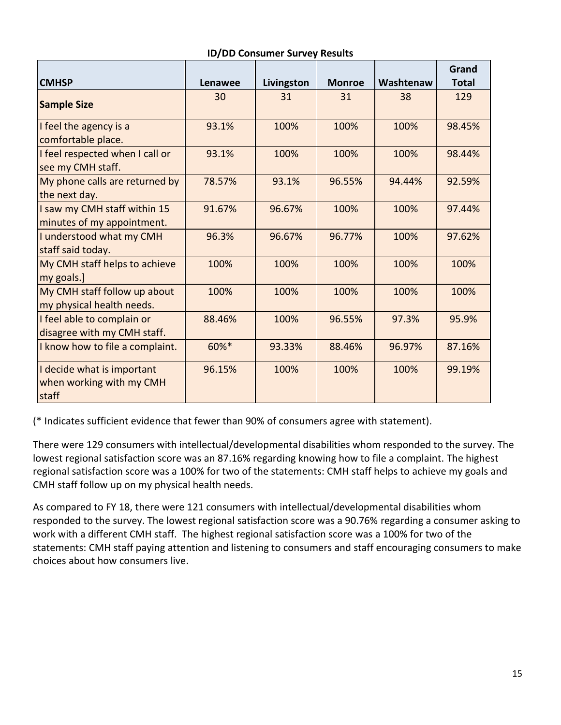|                                                                 |                |            |               |           | Grand        |
|-----------------------------------------------------------------|----------------|------------|---------------|-----------|--------------|
| <b>CMHSP</b>                                                    | <b>Lenawee</b> | Livingston | <b>Monroe</b> | Washtenaw | <b>Total</b> |
| <b>Sample Size</b>                                              | 30             | 31         | 31            | 38        | 129          |
| I feel the agency is a<br>comfortable place.                    | 93.1%          | 100%       | 100%          | 100%      | 98.45%       |
| I feel respected when I call or<br>see my CMH staff.            | 93.1%          | 100%       | 100%          | 100%      | 98.44%       |
| My phone calls are returned by<br>the next day.                 | 78.57%         | 93.1%      | 96.55%        | 94.44%    | 92.59%       |
| I saw my CMH staff within 15<br>minutes of my appointment.      | 91.67%         | 96.67%     | 100%          | 100%      | 97.44%       |
| I understood what my CMH<br>staff said today.                   | 96.3%          | 96.67%     | 96.77%        | 100%      | 97.62%       |
| My CMH staff helps to achieve<br>my goals.]                     | 100%           | 100%       | 100%          | 100%      | 100%         |
| My CMH staff follow up about<br>my physical health needs.       | 100%           | 100%       | 100%          | 100%      | 100%         |
| I feel able to complain or<br>disagree with my CMH staff.       | 88.46%         | 100%       | 96.55%        | 97.3%     | 95.9%        |
| I know how to file a complaint.                                 | 60%*           | 93.33%     | 88.46%        | 96.97%    | 87.16%       |
| I decide what is important<br>when working with my CMH<br>staff | 96.15%         | 100%       | 100%          | 100%      | 99.19%       |

#### **ID/DD Consumer Survey Results**

(\* Indicates sufficient evidence that fewer than 90% of consumers agree with statement).

There were 129 consumers with intellectual/developmental disabilities whom responded to the survey. The lowest regional satisfaction score was an 87.16% regarding knowing how to file a complaint. The highest regional satisfaction score was a 100% for two of the statements: CMH staff helps to achieve my goals and CMH staff follow up on my physical health needs.

As compared to FY 18, there were 121 consumers with intellectual/developmental disabilities whom responded to the survey. The lowest regional satisfaction score was a 90.76% regarding a consumer asking to work with a different CMH staff. The highest regional satisfaction score was a 100% for two of the statements: CMH staff paying attention and listening to consumers and staff encouraging consumers to make choices about how consumers live.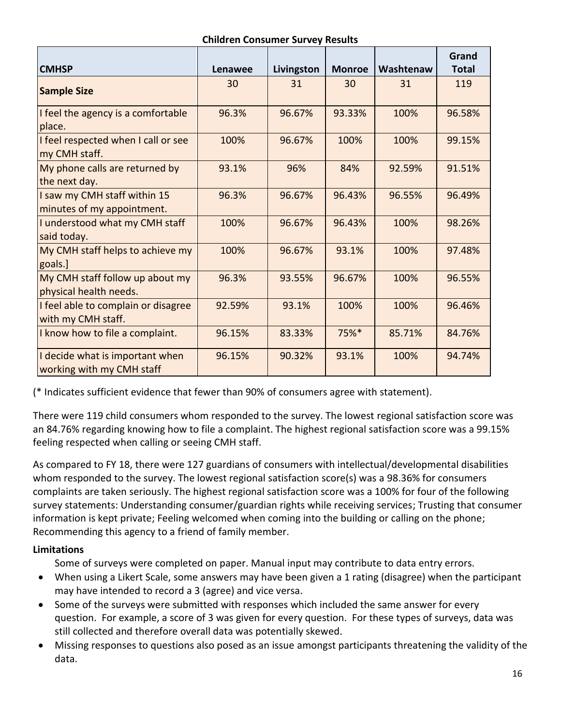#### **Children Consumer Survey Results**

|                                                              |                |            |               |           | Grand        |
|--------------------------------------------------------------|----------------|------------|---------------|-----------|--------------|
| <b>CMHSP</b>                                                 | <b>Lenawee</b> | Livingston | <b>Monroe</b> | Washtenaw | <b>Total</b> |
| <b>Sample Size</b>                                           | 30             | 31         | 30            | 31        | 119          |
| I feel the agency is a comfortable<br>place.                 | 96.3%          | 96.67%     | 93.33%        | 100%      | 96.58%       |
| I feel respected when I call or see<br>my CMH staff.         | 100%           | 96.67%     | 100%          | 100%      | 99.15%       |
| My phone calls are returned by<br>the next day.              | 93.1%          | 96%        | 84%           | 92.59%    | 91.51%       |
| I saw my CMH staff within 15<br>minutes of my appointment.   | 96.3%          | 96.67%     | 96.43%        | 96.55%    | 96.49%       |
| I understood what my CMH staff<br>said today.                | 100%           | 96.67%     | 96.43%        | 100%      | 98.26%       |
| My CMH staff helps to achieve my<br>goals.]                  | 100%           | 96.67%     | 93.1%         | 100%      | 97.48%       |
| My CMH staff follow up about my<br>physical health needs.    | 96.3%          | 93.55%     | 96.67%        | 100%      | 96.55%       |
| I feel able to complain or disagree<br>with my CMH staff.    | 92.59%         | 93.1%      | 100%          | 100%      | 96.46%       |
| I know how to file a complaint.                              | 96.15%         | 83.33%     | 75%*          | 85.71%    | 84.76%       |
| I decide what is important when<br>working with my CMH staff | 96.15%         | 90.32%     | 93.1%         | 100%      | 94.74%       |

(\* Indicates sufficient evidence that fewer than 90% of consumers agree with statement).

There were 119 child consumers whom responded to the survey. The lowest regional satisfaction score was an 84.76% regarding knowing how to file a complaint. The highest regional satisfaction score was a 99.15% feeling respected when calling or seeing CMH staff.

As compared to FY 18, there were 127 guardians of consumers with intellectual/developmental disabilities whom responded to the survey. The lowest regional satisfaction score(s) was a 98.36% for consumers complaints are taken seriously. The highest regional satisfaction score was a 100% for four of the following survey statements: Understanding consumer/guardian rights while receiving services; Trusting that consumer information is kept private; Feeling welcomed when coming into the building or calling on the phone; Recommending this agency to a friend of family member.

### **Limitations**

Some of surveys were completed on paper. Manual input may contribute to data entry errors.

- When using a Likert Scale, some answers may have been given a 1 rating (disagree) when the participant may have intended to record a 3 (agree) and vice versa.
- Some of the surveys were submitted with responses which included the same answer for every question. For example, a score of 3 was given for every question. For these types of surveys, data was still collected and therefore overall data was potentially skewed.
- Missing responses to questions also posed as an issue amongst participants threatening the validity of the data.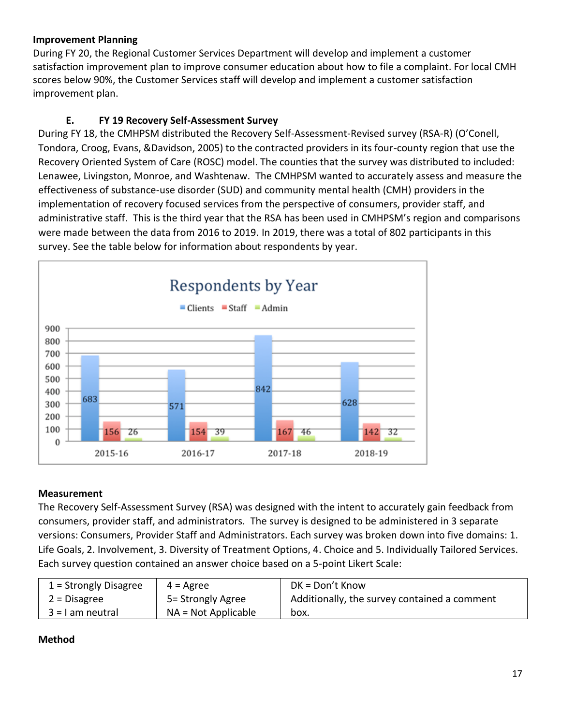### **Improvement Planning**

During FY 20, the Regional Customer Services Department will develop and implement a customer satisfaction improvement plan to improve consumer education about how to file a complaint. For local CMH scores below 90%, the Customer Services staff will develop and implement a customer satisfaction improvement plan.

## **E. FY 19 Recovery Self-Assessment Survey**

During FY 18, the CMHPSM distributed the Recovery Self-Assessment-Revised survey (RSA-R) (O'Conell, Tondora, Croog, Evans, &Davidson, 2005) to the contracted providers in its four-county region that use the Recovery Oriented System of Care (ROSC) model. The counties that the survey was distributed to included: Lenawee, Livingston, Monroe, and Washtenaw. The CMHPSM wanted to accurately assess and measure the effectiveness of substance-use disorder (SUD) and community mental health (CMH) providers in the implementation of recovery focused services from the perspective of consumers, provider staff, and administrative staff. This is the third year that the RSA has been used in CMHPSM's region and comparisons were made between the data from 2016 to 2019. In 2019, there was a total of 802 participants in this survey. See the table below for information about respondents by year.



### **Measurement**

The Recovery Self-Assessment Survey (RSA) was designed with the intent to accurately gain feedback from consumers, provider staff, and administrators. The survey is designed to be administered in 3 separate versions: Consumers, Provider Staff and Administrators. Each survey was broken down into five domains: 1. Life Goals, 2. Involvement, 3. Diversity of Treatment Options, 4. Choice and 5. Individually Tailored Services. Each survey question contained an answer choice based on a 5-point Likert Scale:

| $1 =$ Strongly Disagree | $4 = \text{Agree}$    | $DK = Don't Know$                            |
|-------------------------|-----------------------|----------------------------------------------|
| $2$ = Disagree          | 5= Strongly Agree     | Additionally, the survey contained a comment |
| $3 = 1$ am neutral      | $NA = Not Applicable$ | box.                                         |

### **Method**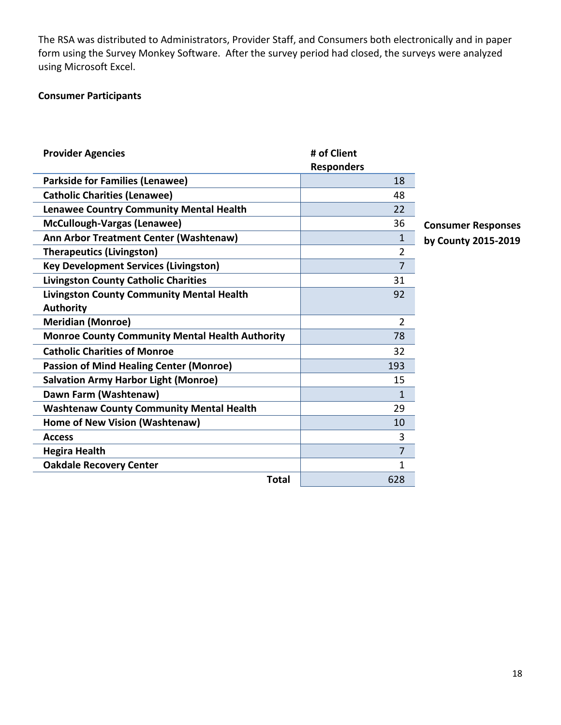The RSA was distributed to Administrators, Provider Staff, and Consumers both electronically and in paper form using the Survey Monkey Software. After the survey period had closed, the surveys were analyzed using Microsoft Excel.

#### **Consumer Participants**

| <b>Provider Agencies</b>                               | # of Client       |                           |
|--------------------------------------------------------|-------------------|---------------------------|
|                                                        | <b>Responders</b> |                           |
| <b>Parkside for Families (Lenawee)</b>                 | 18                |                           |
| <b>Catholic Charities (Lenawee)</b>                    | 48                |                           |
| <b>Lenawee Country Community Mental Health</b>         | 22                |                           |
| McCullough-Vargas (Lenawee)                            | 36                | <b>Consumer Responses</b> |
| Ann Arbor Treatment Center (Washtenaw)                 | 1                 | by County 2015-2019       |
| <b>Therapeutics (Livingston)</b>                       | $\overline{2}$    |                           |
| <b>Key Development Services (Livingston)</b>           | $\overline{7}$    |                           |
| <b>Livingston County Catholic Charities</b>            | 31                |                           |
| <b>Livingston County Community Mental Health</b>       | 92                |                           |
| <b>Authority</b>                                       |                   |                           |
| <b>Meridian (Monroe)</b>                               | $\overline{2}$    |                           |
| <b>Monroe County Community Mental Health Authority</b> | 78                |                           |
| <b>Catholic Charities of Monroe</b>                    | 32                |                           |
| <b>Passion of Mind Healing Center (Monroe)</b>         | 193               |                           |
| <b>Salvation Army Harbor Light (Monroe)</b>            | 15                |                           |
| Dawn Farm (Washtenaw)                                  | 1                 |                           |
| <b>Washtenaw County Community Mental Health</b>        | 29                |                           |
| Home of New Vision (Washtenaw)                         | 10                |                           |
| <b>Access</b>                                          | 3                 |                           |
| <b>Hegira Health</b>                                   | 7                 |                           |
| <b>Oakdale Recovery Center</b>                         | $\mathbf{1}$      |                           |
| <b>Total</b>                                           | 628               |                           |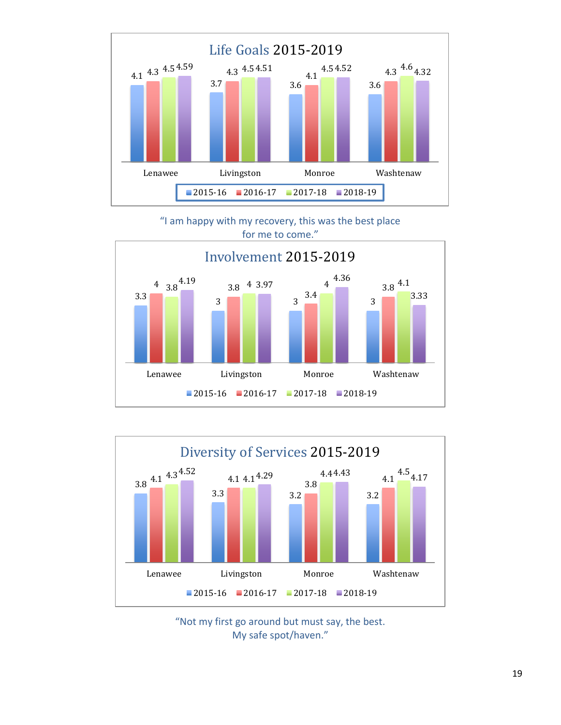

"I am happy with my recovery, this was the best place for me to come."





"Not my first go around but must say, the best. My safe spot/haven."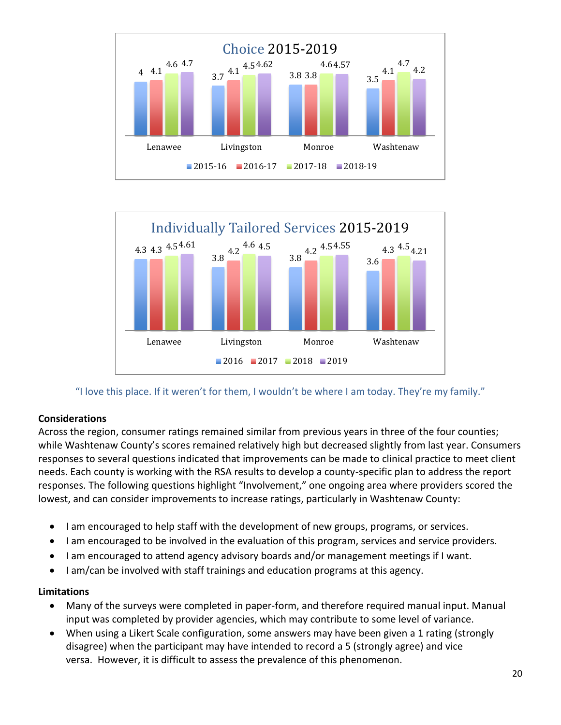



"I love this place. If it weren't for them, I wouldn't be where I am today. They're my family."

### **Considerations**

Across the region, consumer ratings remained similar from previous years in three of the four counties; while Washtenaw County's scores remained relatively high but decreased slightly from last year. Consumers responses to several questions indicated that improvements can be made to clinical practice to meet client needs. Each county is working with the RSA results to develop a county-specific plan to address the report responses. The following questions highlight "Involvement," one ongoing area where providers scored the lowest, and can consider improvements to increase ratings, particularly in Washtenaw County:

- I am encouraged to help staff with the development of new groups, programs, or services.
- I am encouraged to be involved in the evaluation of this program, services and service providers.
- I am encouraged to attend agency advisory boards and/or management meetings if I want.
- I am/can be involved with staff trainings and education programs at this agency.

### **Limitations**

- Many of the surveys were completed in paper-form, and therefore required manual input. Manual input was completed by provider agencies, which may contribute to some level of variance.
- When using a Likert Scale configuration, some answers may have been given a 1 rating (strongly disagree) when the participant may have intended to record a 5 (strongly agree) and vice versa. However, it is difficult to assess the prevalence of this phenomenon.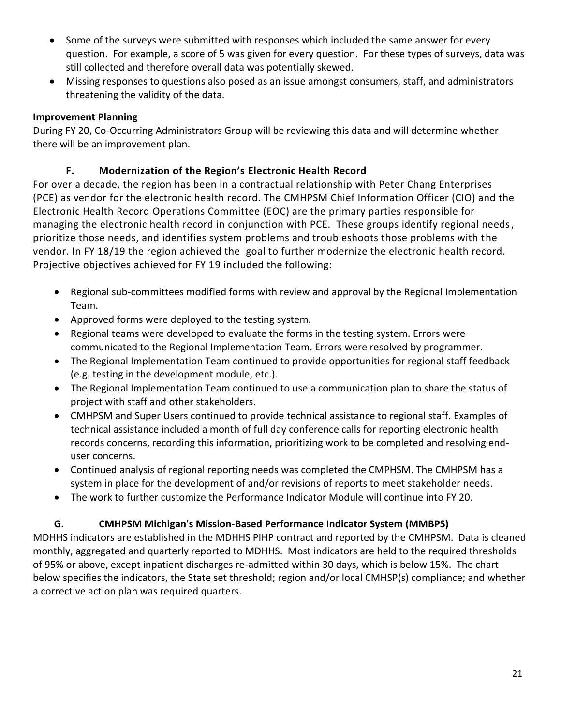- Some of the surveys were submitted with responses which included the same answer for every question. For example, a score of 5 was given for every question. For these types of surveys, data was still collected and therefore overall data was potentially skewed.
- Missing responses to questions also posed as an issue amongst consumers, staff, and administrators threatening the validity of the data.

## **Improvement Planning**

During FY 20, Co-Occurring Administrators Group will be reviewing this data and will determine whether there will be an improvement plan.

## **F. Modernization of the Region's Electronic Health Record**

For over a decade, the region has been in a contractual relationship with Peter Chang Enterprises (PCE) as vendor for the electronic health record. The CMHPSM Chief Information Officer (CIO) and the Electronic Health Record Operations Committee (EOC) are the primary parties responsible for managing the electronic health record in conjunction with PCE. These groups identify regional needs, prioritize those needs, and identifies system problems and troubleshoots those problems with the vendor. In FY 18/19 the region achieved the goal to further modernize the electronic health record. Projective objectives achieved for FY 19 included the following:

- Regional sub-committees modified forms with review and approval by the Regional Implementation Team.
- Approved forms were deployed to the testing system.
- Regional teams were developed to evaluate the forms in the testing system. Errors were communicated to the Regional Implementation Team. Errors were resolved by programmer.
- The Regional Implementation Team continued to provide opportunities for regional staff feedback (e.g. testing in the development module, etc.).
- The Regional Implementation Team continued to use a communication plan to share the status of project with staff and other stakeholders.
- CMHPSM and Super Users continued to provide technical assistance to regional staff. Examples of technical assistance included a month of full day conference calls for reporting electronic health records concerns, recording this information, prioritizing work to be completed and resolving enduser concerns.
- Continued analysis of regional reporting needs was completed the CMPHSM. The CMHPSM has a system in place for the development of and/or revisions of reports to meet stakeholder needs.
- The work to further customize the Performance Indicator Module will continue into FY 20.

## **G. CMHPSM Michigan's Mission-Based Performance Indicator System (MMBPS)**

MDHHS indicators are established in the MDHHS PIHP contract and reported by the CMHPSM. Data is cleaned monthly, aggregated and quarterly reported to MDHHS. Most indicators are held to the required thresholds of 95% or above, except inpatient discharges re-admitted within 30 days, which is below 15%. The chart below specifies the indicators, the State set threshold; region and/or local CMHSP(s) compliance; and whether a corrective action plan was required quarters.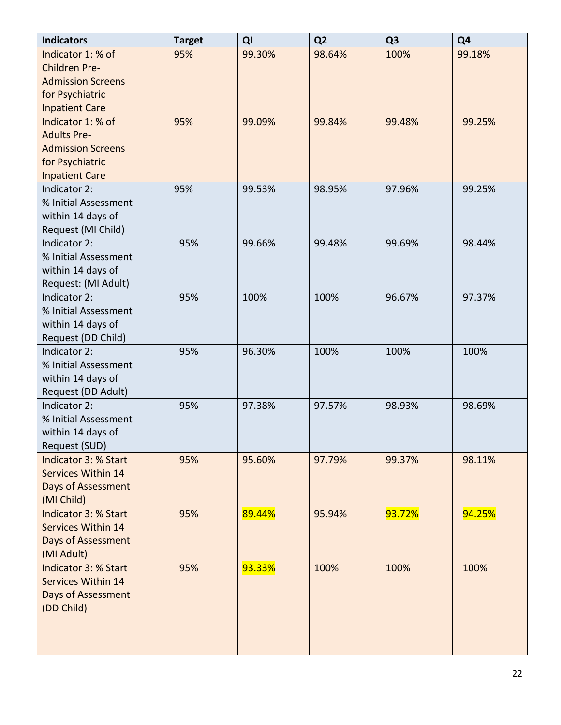| <b>Indicators</b>           | <b>Target</b> | QI     | Q <sub>2</sub> | Q <sub>3</sub> | Q <sub>4</sub> |
|-----------------------------|---------------|--------|----------------|----------------|----------------|
| Indicator 1: % of           | 95%           | 99.30% | 98.64%         | 100%           | 99.18%         |
| Children Pre-               |               |        |                |                |                |
| <b>Admission Screens</b>    |               |        |                |                |                |
| for Psychiatric             |               |        |                |                |                |
| <b>Inpatient Care</b>       |               |        |                |                |                |
| Indicator 1: % of           | 95%           | 99.09% | 99.84%         | 99.48%         | 99.25%         |
| <b>Adults Pre-</b>          |               |        |                |                |                |
| <b>Admission Screens</b>    |               |        |                |                |                |
| for Psychiatric             |               |        |                |                |                |
| <b>Inpatient Care</b>       |               |        |                |                |                |
| Indicator 2:                | 95%           | 99.53% | 98.95%         | 97.96%         | 99.25%         |
| % Initial Assessment        |               |        |                |                |                |
| within 14 days of           |               |        |                |                |                |
| Request (MI Child)          |               |        |                |                |                |
| Indicator 2:                | 95%           | 99.66% | 99.48%         | 99.69%         | 98.44%         |
| % Initial Assessment        |               |        |                |                |                |
| within 14 days of           |               |        |                |                |                |
| Request: (MI Adult)         |               |        |                |                |                |
| Indicator 2:                | 95%           | 100%   | 100%           | 96.67%         | 97.37%         |
| % Initial Assessment        |               |        |                |                |                |
| within 14 days of           |               |        |                |                |                |
| Request (DD Child)          |               |        |                |                |                |
| Indicator 2:                | 95%           | 96.30% | 100%           | 100%           | 100%           |
| % Initial Assessment        |               |        |                |                |                |
| within 14 days of           |               |        |                |                |                |
| Request (DD Adult)          |               |        |                |                |                |
| Indicator 2:                | 95%           | 97.38% | 97.57%         | 98.93%         | 98.69%         |
| % Initial Assessment        |               |        |                |                |                |
| within 14 days of           |               |        |                |                |                |
| Request (SUD)               |               |        |                |                |                |
| <b>Indicator 3: % Start</b> | 95%           | 95.60% | 97.79%         | 99.37%         | 98.11%         |
| <b>Services Within 14</b>   |               |        |                |                |                |
| Days of Assessment          |               |        |                |                |                |
| (MI Child)                  |               |        |                |                |                |
| <b>Indicator 3: % Start</b> | 95%           | 89.44% | 95.94%         | 93.72%         | 94.25%         |
| <b>Services Within 14</b>   |               |        |                |                |                |
| <b>Days of Assessment</b>   |               |        |                |                |                |
| (MI Adult)                  |               |        |                |                |                |
| Indicator 3: % Start        | 95%           | 93.33% | 100%           | 100%           | 100%           |
| <b>Services Within 14</b>   |               |        |                |                |                |
| Days of Assessment          |               |        |                |                |                |
| (DD Child)                  |               |        |                |                |                |
|                             |               |        |                |                |                |
|                             |               |        |                |                |                |
|                             |               |        |                |                |                |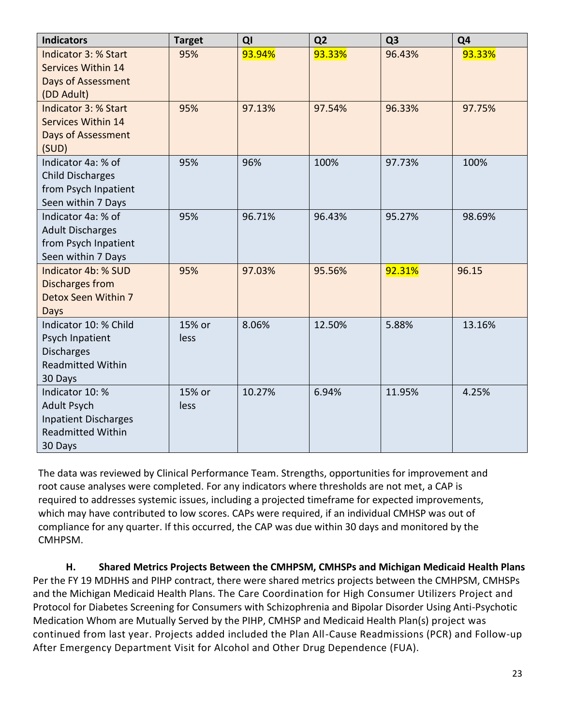| <b>Indicators</b>           | <b>Target</b> | QI     | Q <sub>2</sub> | Q <sub>3</sub> | Q <sub>4</sub> |
|-----------------------------|---------------|--------|----------------|----------------|----------------|
| <b>Indicator 3: % Start</b> | 95%           | 93.94% | 93.33%         | 96.43%         | 93.33%         |
| <b>Services Within 14</b>   |               |        |                |                |                |
| <b>Days of Assessment</b>   |               |        |                |                |                |
| (DD Adult)                  |               |        |                |                |                |
| Indicator 3: % Start        | 95%           | 97.13% | 97.54%         | 96.33%         | 97.75%         |
| <b>Services Within 14</b>   |               |        |                |                |                |
| Days of Assessment          |               |        |                |                |                |
| (SUD)                       |               |        |                |                |                |
| Indicator 4a: % of          | 95%           | 96%    | 100%           | 97.73%         | 100%           |
| <b>Child Discharges</b>     |               |        |                |                |                |
| from Psych Inpatient        |               |        |                |                |                |
| Seen within 7 Days          |               |        |                |                |                |
| Indicator 4a: % of          | 95%           | 96.71% | 96.43%         | 95.27%         | 98.69%         |
| <b>Adult Discharges</b>     |               |        |                |                |                |
| from Psych Inpatient        |               |        |                |                |                |
| Seen within 7 Days          |               |        |                |                |                |
| Indicator 4b: % SUD         | 95%           | 97.03% | 95.56%         | 92.31%         | 96.15          |
| Discharges from             |               |        |                |                |                |
| Detox Seen Within 7         |               |        |                |                |                |
| Days                        |               |        |                |                |                |
| Indicator 10: % Child       | 15% or        | 8.06%  | 12.50%         | 5.88%          | 13.16%         |
| Psych Inpatient             | less          |        |                |                |                |
| <b>Discharges</b>           |               |        |                |                |                |
| <b>Readmitted Within</b>    |               |        |                |                |                |
| 30 Days                     |               |        |                |                |                |
| Indicator 10: %             | 15% or        | 10.27% | 6.94%          | 11.95%         | 4.25%          |
| <b>Adult Psych</b>          | less          |        |                |                |                |
| <b>Inpatient Discharges</b> |               |        |                |                |                |
| <b>Readmitted Within</b>    |               |        |                |                |                |
| 30 Days                     |               |        |                |                |                |

The data was reviewed by Clinical Performance Team. Strengths, opportunities for improvement and root cause analyses were completed. For any indicators where thresholds are not met, a CAP is required to addresses systemic issues, including a projected timeframe for expected improvements, which may have contributed to low scores. CAPs were required, if an individual CMHSP was out of compliance for any quarter. If this occurred, the CAP was due within 30 days and monitored by the CMHPSM.

**H. Shared Metrics Projects Between the CMHPSM, CMHSPs and Michigan Medicaid Health Plans** Per the FY 19 MDHHS and PIHP contract, there were shared metrics projects between the CMHPSM, CMHSPs and the Michigan Medicaid Health Plans. The Care Coordination for High Consumer Utilizers Project and Protocol for Diabetes Screening for Consumers with Schizophrenia and Bipolar Disorder Using Anti-Psychotic Medication Whom are Mutually Served by the PIHP, CMHSP and Medicaid Health Plan(s) project was continued from last year. Projects added included the Plan All-Cause Readmissions (PCR) and Follow-up After Emergency Department Visit for Alcohol and Other Drug Dependence (FUA).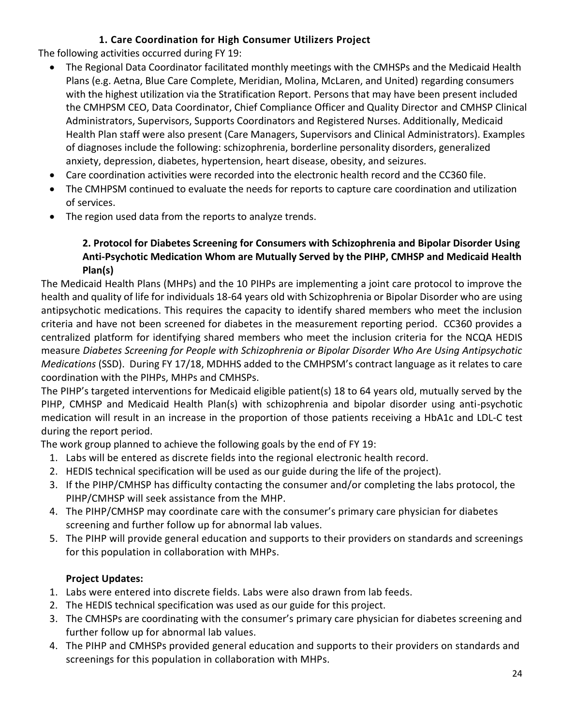## **1. Care Coordination for High Consumer Utilizers Project**

The following activities occurred during FY 19:

- The Regional Data Coordinator facilitated monthly meetings with the CMHSPs and the Medicaid Health Plans (e.g. Aetna, Blue Care Complete, Meridian, Molina, McLaren, and United) regarding consumers with the highest utilization via the Stratification Report. Persons that may have been present included the CMHPSM CEO, Data Coordinator, Chief Compliance Officer and Quality Director and CMHSP Clinical Administrators, Supervisors, Supports Coordinators and Registered Nurses. Additionally, Medicaid Health Plan staff were also present (Care Managers, Supervisors and Clinical Administrators). Examples of diagnoses include the following: schizophrenia, borderline personality disorders, generalized anxiety, depression, diabetes, hypertension, heart disease, obesity, and seizures.
- Care coordination activities were recorded into the electronic health record and the CC360 file.
- The CMHPSM continued to evaluate the needs for reports to capture care coordination and utilization of services.
- The region used data from the reports to analyze trends.

## **2. Protocol for Diabetes Screening for Consumers with Schizophrenia and Bipolar Disorder Using Anti-Psychotic Medication Whom are Mutually Served by the PIHP, CMHSP and Medicaid Health Plan(s)**

The Medicaid Health Plans (MHPs) and the 10 PIHPs are implementing a joint care protocol to improve the health and quality of life for individuals 18-64 years old with Schizophrenia or Bipolar Disorder who are using antipsychotic medications. This requires the capacity to identify shared members who meet the inclusion criteria and have not been screened for diabetes in the measurement reporting period. CC360 provides a centralized platform for identifying shared members who meet the inclusion criteria for the NCQA HEDIS measure *Diabetes Screening for People with Schizophrenia or Bipolar Disorder Who Are Using Antipsychotic Medications* (SSD). During FY 17/18, MDHHS added to the CMHPSM's contract language as it relates to care coordination with the PIHPs, MHPs and CMHSPs.

The PIHP's targeted interventions for Medicaid eligible patient(s) 18 to 64 years old, mutually served by the PIHP, CMHSP and Medicaid Health Plan(s) with schizophrenia and bipolar disorder using anti-psychotic medication will result in an increase in the proportion of those patients receiving a HbA1c and LDL-C test during the report period.

The work group planned to achieve the following goals by the end of FY 19:

- 1. Labs will be entered as discrete fields into the regional electronic health record.
- 2. HEDIS technical specification will be used as our guide during the life of the project).
- 3. If the PIHP/CMHSP has difficulty contacting the consumer and/or completing the labs protocol, the PIHP/CMHSP will seek assistance from the MHP.
- 4. The PIHP/CMHSP may coordinate care with the consumer's primary care physician for diabetes screening and further follow up for abnormal lab values.
- 5. The PIHP will provide general education and supports to their providers on standards and screenings for this population in collaboration with MHPs.

## **Project Updates:**

- 1. Labs were entered into discrete fields. Labs were also drawn from lab feeds.
- 2. The HEDIS technical specification was used as our guide for this project.
- 3. The CMHSPs are coordinating with the consumer's primary care physician for diabetes screening and further follow up for abnormal lab values.
- 4. The PIHP and CMHSPs provided general education and supports to their providers on standards and screenings for this population in collaboration with MHPs.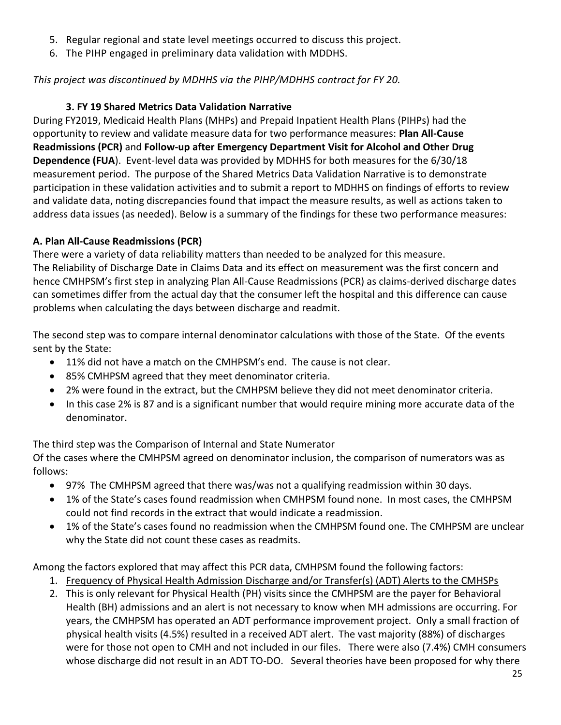- 5. Regular regional and state level meetings occurred to discuss this project.
- 6. The PIHP engaged in preliminary data validation with MDDHS.

## *This project was discontinued by MDHHS via the PIHP/MDHHS contract for FY 20.*

### **3. FY 19 Shared Metrics Data Validation Narrative**

During FY2019, Medicaid Health Plans (MHPs) and Prepaid Inpatient Health Plans (PIHPs) had the opportunity to review and validate measure data for two performance measures: **Plan All-Cause Readmissions (PCR)** and **Follow-up after Emergency Department Visit for Alcohol and Other Drug Dependence (FUA**). Event-level data was provided by MDHHS for both measures for the 6/30/18 measurement period. The purpose of the Shared Metrics Data Validation Narrative is to demonstrate participation in these validation activities and to submit a report to MDHHS on findings of efforts to review and validate data, noting discrepancies found that impact the measure results, as well as actions taken to address data issues (as needed). Below is a summary of the findings for these two performance measures:

## **A. Plan All-Cause Readmissions (PCR)**

There were a variety of data reliability matters than needed to be analyzed for this measure. The Reliability of Discharge Date in Claims Data and its effect on measurement was the first concern and hence CMHPSM's first step in analyzing Plan All-Cause Readmissions (PCR) as claims-derived discharge dates can sometimes differ from the actual day that the consumer left the hospital and this difference can cause problems when calculating the days between discharge and readmit.

The second step was to compare internal denominator calculations with those of the State. Of the events sent by the State:

- 11% did not have a match on the CMHPSM's end. The cause is not clear.
- 85% CMHPSM agreed that they meet denominator criteria.
- 2% were found in the extract, but the CMHPSM believe they did not meet denominator criteria.
- In this case 2% is 87 and is a significant number that would require mining more accurate data of the denominator.

The third step was the Comparison of Internal and State Numerator

Of the cases where the CMHPSM agreed on denominator inclusion, the comparison of numerators was as follows:

- 97% The CMHPSM agreed that there was/was not a qualifying readmission within 30 days.
- 1% of the State's cases found readmission when CMHPSM found none. In most cases, the CMHPSM could not find records in the extract that would indicate a readmission.
- 1% of the State's cases found no readmission when the CMHPSM found one. The CMHPSM are unclear why the State did not count these cases as readmits.

Among the factors explored that may affect this PCR data, CMHPSM found the following factors:

- 1. Frequency of Physical Health Admission Discharge and/or Transfer(s) (ADT) Alerts to the CMHSPs
- 2. This is only relevant for Physical Health (PH) visits since the CMHPSM are the payer for Behavioral Health (BH) admissions and an alert is not necessary to know when MH admissions are occurring. For years, the CMHPSM has operated an ADT performance improvement project. Only a small fraction of physical health visits (4.5%) resulted in a received ADT alert. The vast majority (88%) of discharges were for those not open to CMH and not included in our files. There were also (7.4%) CMH consumers whose discharge did not result in an ADT TO-DO. Several theories have been proposed for why there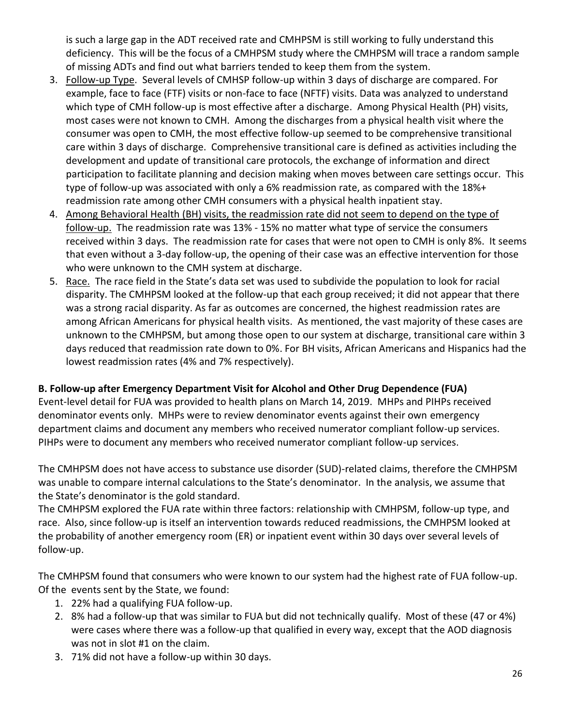is such a large gap in the ADT received rate and CMHPSM is still working to fully understand this deficiency. This will be the focus of a CMHPSM study where the CMHPSM will trace a random sample of missing ADTs and find out what barriers tended to keep them from the system.

- 3. Follow-up Type. Several levels of CMHSP follow-up within 3 days of discharge are compared. For example, face to face (FTF) visits or non-face to face (NFTF) visits. Data was analyzed to understand which type of CMH follow-up is most effective after a discharge. Among Physical Health (PH) visits, most cases were not known to CMH. Among the discharges from a physical health visit where the consumer was open to CMH, the most effective follow-up seemed to be comprehensive transitional care within 3 days of discharge. Comprehensive transitional care is defined as activities including the development and update of transitional care protocols, the exchange of information and direct participation to facilitate planning and decision making when moves between care settings occur. This type of follow-up was associated with only a 6% readmission rate, as compared with the 18%+ readmission rate among other CMH consumers with a physical health inpatient stay.
- 4. Among Behavioral Health (BH) visits, the readmission rate did not seem to depend on the type of follow-up. The readmission rate was 13% - 15% no matter what type of service the consumers received within 3 days. The readmission rate for cases that were not open to CMH is only 8%. It seems that even without a 3-day follow-up, the opening of their case was an effective intervention for those who were unknown to the CMH system at discharge.
- 5. Race. The race field in the State's data set was used to subdivide the population to look for racial disparity. The CMHPSM looked at the follow-up that each group received; it did not appear that there was a strong racial disparity. As far as outcomes are concerned, the highest readmission rates are among African Americans for physical health visits. As mentioned, the vast majority of these cases are unknown to the CMHPSM, but among those open to our system at discharge, transitional care within 3 days reduced that readmission rate down to 0%. For BH visits, African Americans and Hispanics had the lowest readmission rates (4% and 7% respectively).

### **B. Follow-up after Emergency Department Visit for Alcohol and Other Drug Dependence (FUA)**

Event-level detail for FUA was provided to health plans on March 14, 2019. MHPs and PIHPs received denominator events only. MHPs were to review denominator events against their own emergency department claims and document any members who received numerator compliant follow-up services. PIHPs were to document any members who received numerator compliant follow-up services.

The CMHPSM does not have access to substance use disorder (SUD)-related claims, therefore the CMHPSM was unable to compare internal calculations to the State's denominator. In the analysis, we assume that the State's denominator is the gold standard.

The CMHPSM explored the FUA rate within three factors: relationship with CMHPSM, follow-up type, and race. Also, since follow-up is itself an intervention towards reduced readmissions, the CMHPSM looked at the probability of another emergency room (ER) or inpatient event within 30 days over several levels of follow-up.

The CMHPSM found that consumers who were known to our system had the highest rate of FUA follow-up. Of the events sent by the State, we found:

- 1. 22% had a qualifying FUA follow-up.
- 2. 8% had a follow-up that was similar to FUA but did not technically qualify. Most of these (47 or 4%) were cases where there was a follow-up that qualified in every way, except that the AOD diagnosis was not in slot #1 on the claim.
- 3. 71% did not have a follow-up within 30 days.